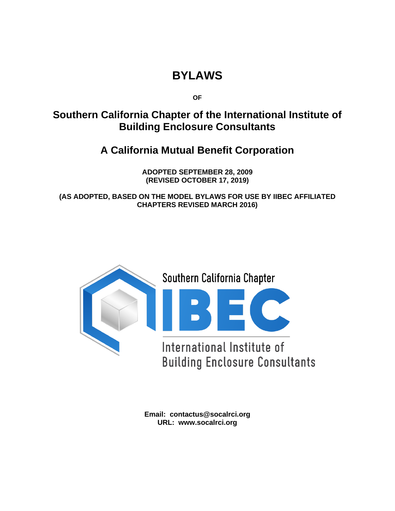# **BYLAWS**

**OF**

## **Southern California Chapter of the International Institute of Building Enclosure Consultants**

## **A California Mutual Benefit Corporation**

**ADOPTED SEPTEMBER 28, 2009 (REVISED OCTOBER 17, 2019)**

**(AS ADOPTED, BASED ON THE MODEL BYLAWS FOR USE BY IIBEC AFFILIATED CHAPTERS REVISED MARCH 2016)**



**Email: contactus@socalrci.org URL: www.socalrci.org**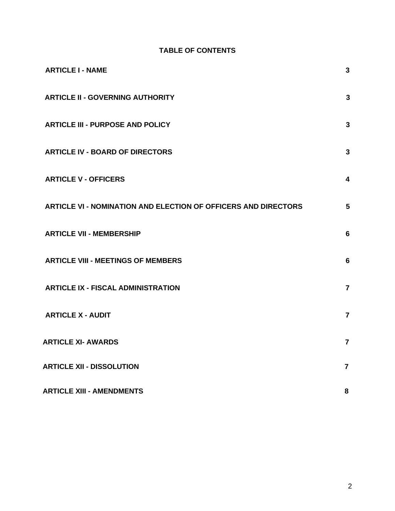## **TABLE OF CONTENTS**

| <b>ARTICLE I - NAME</b>                                        | $\mathbf{3}$            |
|----------------------------------------------------------------|-------------------------|
| <b>ARTICLE II - GOVERNING AUTHORITY</b>                        | 3                       |
| <b>ARTICLE III - PURPOSE AND POLICY</b>                        | 3                       |
| <b>ARTICLE IV - BOARD OF DIRECTORS</b>                         | $\mathbf{3}$            |
| <b>ARTICLE V - OFFICERS</b>                                    | $\overline{\mathbf{4}}$ |
| ARTICLE VI - NOMINATION AND ELECTION OF OFFICERS AND DIRECTORS | 5                       |
| <b>ARTICLE VII - MEMBERSHIP</b>                                | $6\phantom{1}6$         |
| <b>ARTICLE VIII - MEETINGS OF MEMBERS</b>                      | $6\phantom{1}6$         |
| <b>ARTICLE IX - FISCAL ADMINISTRATION</b>                      | $\overline{7}$          |
| <b>ARTICLE X - AUDIT</b>                                       | $\overline{7}$          |
| <b>ARTICLE XI- AWARDS</b>                                      | $\overline{7}$          |
| <b>ARTICLE XII - DISSOLUTION</b>                               | $\overline{7}$          |
| <b>ARTICLE XIII - AMENDMENTS</b>                               | 8                       |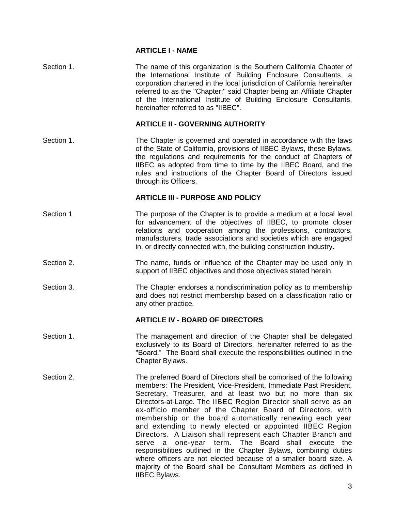### **ARTICLE I - NAME**

<span id="page-2-0"></span>

| Section 1. | The name of this organization is the Southern California Chapter of<br>the International Institute of Building Enclosure Consultants, a<br>corporation chartered in the local jurisdiction of California hereinafter<br>referred to as the "Chapter;" said Chapter being an Affiliate Chapter<br>of the International Institute of Building Enclosure Consultants,<br>hereinafter referred to as "IIBEC".                                                                                                                                                                                                                                                                                                                                                                                                                                  |
|------------|--------------------------------------------------------------------------------------------------------------------------------------------------------------------------------------------------------------------------------------------------------------------------------------------------------------------------------------------------------------------------------------------------------------------------------------------------------------------------------------------------------------------------------------------------------------------------------------------------------------------------------------------------------------------------------------------------------------------------------------------------------------------------------------------------------------------------------------------|
|            | <b>ARTICLE II - GOVERNING AUTHORITY</b>                                                                                                                                                                                                                                                                                                                                                                                                                                                                                                                                                                                                                                                                                                                                                                                                    |
| Section 1. | The Chapter is governed and operated in accordance with the laws<br>of the State of California, provisions of IIBEC Bylaws, these Bylaws,<br>the regulations and requirements for the conduct of Chapters of<br>IIBEC as adopted from time to time by the IIBEC Board, and the<br>rules and instructions of the Chapter Board of Directors issued<br>through its Officers.                                                                                                                                                                                                                                                                                                                                                                                                                                                                 |
|            | <b>ARTICLE III - PURPOSE AND POLICY</b>                                                                                                                                                                                                                                                                                                                                                                                                                                                                                                                                                                                                                                                                                                                                                                                                    |
| Section 1  | The purpose of the Chapter is to provide a medium at a local level<br>for advancement of the objectives of IIBEC, to promote closer<br>relations and cooperation among the professions, contractors,<br>manufacturers, trade associations and societies which are engaged<br>in, or directly connected with, the building construction industry.                                                                                                                                                                                                                                                                                                                                                                                                                                                                                           |
| Section 2. | The name, funds or influence of the Chapter may be used only in<br>support of IIBEC objectives and those objectives stated herein.                                                                                                                                                                                                                                                                                                                                                                                                                                                                                                                                                                                                                                                                                                         |
| Section 3. | The Chapter endorses a nondiscrimination policy as to membership<br>and does not restrict membership based on a classification ratio or<br>any other practice.                                                                                                                                                                                                                                                                                                                                                                                                                                                                                                                                                                                                                                                                             |
|            | <b>ARTICLE IV - BOARD OF DIRECTORS</b>                                                                                                                                                                                                                                                                                                                                                                                                                                                                                                                                                                                                                                                                                                                                                                                                     |
| Section 1. | The management and direction of the Chapter shall be delegated<br>exclusively to its Board of Directors, hereinafter referred to as the<br>'Board." The Board shall execute the responsibilities outlined in the<br>Chapter Bylaws.                                                                                                                                                                                                                                                                                                                                                                                                                                                                                                                                                                                                        |
| Section 2. | The preferred Board of Directors shall be comprised of the following<br>members: The President, Vice-President, Immediate Past President,<br>Secretary, Treasurer, and at least two but no more than six<br>Directors-at-Large. The IIBEC Region Director shall serve as an<br>ex-officio member of the Chapter Board of Directors, with<br>membership on the board automatically renewing each year<br>and extending to newly elected or appointed IIBEC Region<br>Directors. A Liaison shall represent each Chapter Branch and<br>The Board<br>shall execute<br>one-year term.<br>the<br>serve<br>a<br>responsibilities outlined in the Chapter Bylaws, combining duties<br>where officers are not elected because of a smaller board size. A<br>majority of the Board shall be Consultant Members as defined in<br><b>IIBEC Bylaws.</b> |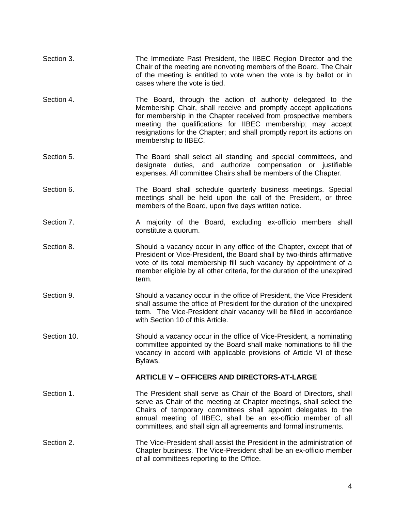| Section 3.  | The Immediate Past President, the IIBEC Region Director and the<br>Chair of the meeting are nonvoting members of the Board. The Chair<br>of the meeting is entitled to vote when the vote is by ballot or in<br>cases where the vote is tied.                                                                                                                       |
|-------------|---------------------------------------------------------------------------------------------------------------------------------------------------------------------------------------------------------------------------------------------------------------------------------------------------------------------------------------------------------------------|
| Section 4.  | The Board, through the action of authority delegated to the<br>Membership Chair, shall receive and promptly accept applications<br>for membership in the Chapter received from prospective members<br>meeting the qualifications for IIBEC membership; may accept<br>resignations for the Chapter; and shall promptly report its actions on<br>membership to IIBEC. |
| Section 5.  | The Board shall select all standing and special committees, and<br>duties, and authorize compensation or justifiable<br>designate<br>expenses. All committee Chairs shall be members of the Chapter.                                                                                                                                                                |
| Section 6.  | The Board shall schedule quarterly business meetings. Special<br>meetings shall be held upon the call of the President, or three<br>members of the Board, upon five days written notice.                                                                                                                                                                            |
| Section 7.  | A majority of the Board, excluding ex-officio members shall<br>constitute a quorum.                                                                                                                                                                                                                                                                                 |
| Section 8.  | Should a vacancy occur in any office of the Chapter, except that of<br>President or Vice-President, the Board shall by two-thirds affirmative<br>vote of its total membership fill such vacancy by appointment of a<br>member eligible by all other criteria, for the duration of the unexpired<br>term.                                                            |
| Section 9.  | Should a vacancy occur in the office of President, the Vice President<br>shall assume the office of President for the duration of the unexpired<br>term. The Vice-President chair vacancy will be filled in accordance<br>with Section 10 of this Article.                                                                                                          |
| Section 10. | Should a vacancy occur in the office of Vice-President, a nominating<br>committee appointed by the Board shall make nominations to fill the<br>vacancy in accord with applicable provisions of Article VI of these<br>Bylaws.                                                                                                                                       |
|             | <b>ARTICLE V - OFFICERS AND DIRECTORS-AT-LARGE</b>                                                                                                                                                                                                                                                                                                                  |
| Section 1.  | The President shall serve as Chair of the Board of Directors, shall<br>serve as Chair of the meeting at Chapter meetings, shall select the<br>Chairs of temporary committees shall appoint delegates to the<br>annual meeting of IIBEC, shall be an ex-officio member of all<br>committees, and shall sign all agreements and formal instruments.                   |
| Section 2.  | The Vice-President shall assist the President in the administration of<br>Chapter business. The Vice-President shall be an ex-officio member<br>of all committees reporting to the Office.                                                                                                                                                                          |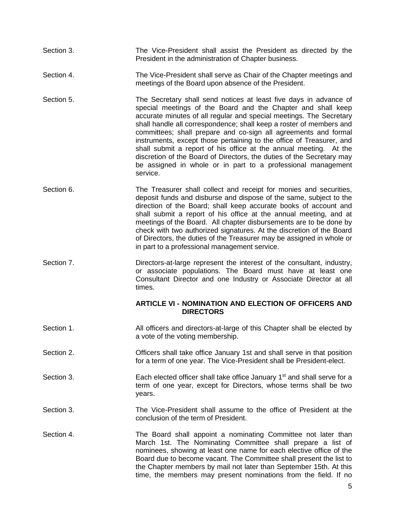- Section 3. The Vice-President shall assist the President as directed by the President in the administration of Chapter business.
- Section 4. The Vice-President shall serve as Chair of the Chapter meetings and meetings of the Board upon absence of the President.
- Section 5. The Secretary shall send notices at least five days in advance of special meetings of the Board and the Chapter and shall keep accurate minutes of all regular and special meetings. The Secretary shall handle all correspondence; shall keep a roster of members and committees; shall prepare and co-sign all agreements and formal instruments, except those pertaining to the office of Treasurer, and shall submit a report of his office at the annual meeting. At the discretion of the Board of Directors, the duties of the Secretary may be assigned in whole or in part to a professional management service.
- Section 6. The Treasurer shall collect and receipt for monies and securities, deposit funds and disburse and dispose of the same, subject to the direction of the Board; shall keep accurate books of account and shall submit a report of his office at the annual meeting, and at meetings of the Board. All chapter disbursements are to be done by check with two authorized signatures. At the discretion of the Board of Directors, the duties of the Treasurer may be assigned in whole or in part to a professional management service.
- Section 7. **Directors-at-large represent the interest of the consultant, industry,** or associate populations. The Board must have at least one Consultant Director and one Industry or Associate Director at all times.

#### **ARTICLE VI - NOMINATION AND ELECTION OF OFFICERS AND DIRECTORS**

- <span id="page-4-0"></span>Section 1. **All officers and directors-at-large of this Chapter shall be elected by** a vote of the voting membership.
- Section 2. **CHECR** Officers shall take office January 1st and shall serve in that position for a term of one year. The Vice-President shall be President-elect.
- Section 3. **Each elected officer shall take office January 1st and shall serve for a** term of one year, except for Directors, whose terms shall be two years.
- Section 3. The Vice-President shall assume to the office of President at the conclusion of the term of President.
- Section 4. The Board shall appoint a nominating Committee not later than March 1st. The Nominating Committee shall prepare a list of nominees, showing at least one name for each elective office of the Board due to become vacant. The Committee shall present the list to the Chapter members by mail not later than September 15th. At this time, the members may present nominations from the field. If no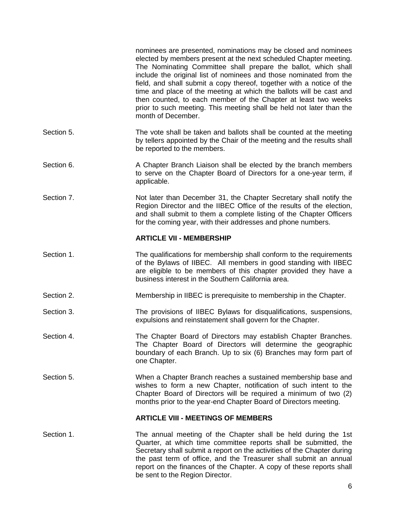<span id="page-5-0"></span>

|            | nominees are presented, nominations may be closed and nominees<br>elected by members present at the next scheduled Chapter meeting.<br>The Nominating Committee shall prepare the ballot, which shall<br>include the original list of nominees and those nominated from the<br>field, and shall submit a copy thereof, together with a notice of the<br>time and place of the meeting at which the ballots will be cast and<br>then counted, to each member of the Chapter at least two weeks<br>prior to such meeting. This meeting shall be held not later than the<br>month of December. |
|------------|---------------------------------------------------------------------------------------------------------------------------------------------------------------------------------------------------------------------------------------------------------------------------------------------------------------------------------------------------------------------------------------------------------------------------------------------------------------------------------------------------------------------------------------------------------------------------------------------|
| Section 5. | The vote shall be taken and ballots shall be counted at the meeting<br>by tellers appointed by the Chair of the meeting and the results shall<br>be reported to the members.                                                                                                                                                                                                                                                                                                                                                                                                                |
| Section 6. | A Chapter Branch Liaison shall be elected by the branch members<br>to serve on the Chapter Board of Directors for a one-year term, if<br>applicable.                                                                                                                                                                                                                                                                                                                                                                                                                                        |
| Section 7. | Not later than December 31, the Chapter Secretary shall notify the<br>Region Director and the IIBEC Office of the results of the election,<br>and shall submit to them a complete listing of the Chapter Officers<br>for the coming year, with their addresses and phone numbers.                                                                                                                                                                                                                                                                                                           |
|            | <b>ARTICLE VII - MEMBERSHIP</b>                                                                                                                                                                                                                                                                                                                                                                                                                                                                                                                                                             |
| Section 1. | The qualifications for membership shall conform to the requirements<br>of the Bylaws of IIBEC. All members in good standing with IIBEC<br>are eligible to be members of this chapter provided they have a<br>business interest in the Southern California area.                                                                                                                                                                                                                                                                                                                             |
| Section 2. | Membership in IIBEC is prerequisite to membership in the Chapter.                                                                                                                                                                                                                                                                                                                                                                                                                                                                                                                           |
| Section 3. | The provisions of IIBEC Bylaws for disqualifications, suspensions,<br>expulsions and reinstatement shall govern for the Chapter.                                                                                                                                                                                                                                                                                                                                                                                                                                                            |
| Section 4. | The Chapter Board of Directors may establish Chapter Branches.<br>The Chapter Board of Directors will determine the geographic<br>boundary of each Branch. Up to six (6) Branches may form part of<br>one Chapter.                                                                                                                                                                                                                                                                                                                                                                          |
| Section 5. | When a Chapter Branch reaches a sustained membership base and<br>wishes to form a new Chapter, notification of such intent to the<br>Chapter Board of Directors will be required a minimum of two (2)<br>months prior to the year-end Chapter Board of Directors meeting.                                                                                                                                                                                                                                                                                                                   |
|            | <b>ARTICLE VIII - MEETINGS OF MEMBERS</b>                                                                                                                                                                                                                                                                                                                                                                                                                                                                                                                                                   |
| Section 1. | The annual meeting of the Chapter shall be held during the 1st<br>Quarter, at which time committee reports shall be submitted, the<br>Secretary shall submit a report on the activities of the Chapter during<br>the past term of office, and the Treasurer shall submit an annual<br>report on the finances of the Chapter. A copy of these reports shall<br>be sent to the Region Director.                                                                                                                                                                                               |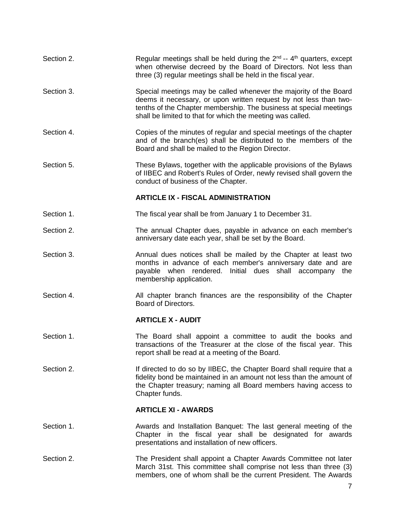| Section 2. | Regular meetings shall be held during the $2^{nd} - 4^{th}$ quarters, except<br>when otherwise decreed by the Board of Directors. Not less than<br>three (3) regular meetings shall be held in the fiscal year.                                                            |
|------------|----------------------------------------------------------------------------------------------------------------------------------------------------------------------------------------------------------------------------------------------------------------------------|
| Section 3. | Special meetings may be called whenever the majority of the Board<br>deems it necessary, or upon written request by not less than two-<br>tenths of the Chapter membership. The business at special meetings<br>shall be limited to that for which the meeting was called. |
| Section 4. | Copies of the minutes of regular and special meetings of the chapter<br>and of the branch(es) shall be distributed to the members of the<br>Board and shall be mailed to the Region Director.                                                                              |
| Section 5. | These Bylaws, together with the applicable provisions of the Bylaws<br>of IIBEC and Robert's Rules of Order, newly revised shall govern the<br>conduct of business of the Chapter.                                                                                         |
|            | <b>ARTICLE IX - FISCAL ADMINISTRATION</b>                                                                                                                                                                                                                                  |
| Section 1. | The fiscal year shall be from January 1 to December 31.                                                                                                                                                                                                                    |
| Section 2. | The annual Chapter dues, payable in advance on each member's<br>anniversary date each year, shall be set by the Board.                                                                                                                                                     |
| Section 3. | Annual dues notices shall be mailed by the Chapter at least two<br>months in advance of each member's anniversary date and are<br>payable when rendered. Initial dues shall accompany the<br>membership application.                                                       |
| Section 4. | All chapter branch finances are the responsibility of the Chapter<br>Board of Directors.                                                                                                                                                                                   |
|            | <b>ARTICLE X - AUDIT</b>                                                                                                                                                                                                                                                   |
| Section 1. | The Board shall appoint a committee to audit the books and<br>transactions of the Treasurer at the close of the fiscal year. This<br>report shall be read at a meeting of the Board.                                                                                       |
| Section 2. | If directed to do so by IIBEC, the Chapter Board shall require that a<br>fidelity bond be maintained in an amount not less than the amount of<br>the Chapter treasury; naming all Board members having access to<br>Chapter funds.                                         |
|            | <b>ARTICLE XI - AWARDS</b>                                                                                                                                                                                                                                                 |
| Section 1. | Awards and Installation Banquet: The last general meeting of the<br>Chapter in the fiscal year shall be designated for awards<br>presentations and installation of new officers.                                                                                           |
| Section 2. | The President shall appoint a Chapter Awards Committee not later<br>March 31st. This committee shall comprise not less than three (3)<br>members, one of whom shall be the current President. The Awards                                                                   |